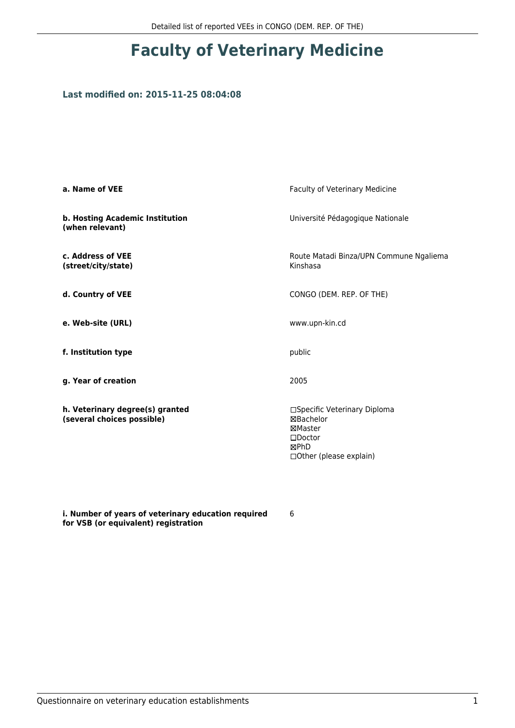## **Faculty of Veterinary Medicine**

## **Last modified on: 2015-11-25 08:04:08**

| a. Name of VEE                                                | Faculty of Veterinary Medicine                                                                               |  |
|---------------------------------------------------------------|--------------------------------------------------------------------------------------------------------------|--|
| b. Hosting Academic Institution<br>(when relevant)            | Université Pédagogique Nationale                                                                             |  |
| c. Address of VEE<br>(street/city/state)                      | Route Matadi Binza/UPN Commune Ngaliema<br>Kinshasa                                                          |  |
| d. Country of VEE                                             | CONGO (DEM. REP. OF THE)                                                                                     |  |
| e. Web-site (URL)                                             | www.upn-kin.cd                                                                                               |  |
| f. Institution type                                           | public                                                                                                       |  |
| g. Year of creation                                           | 2005                                                                                                         |  |
| h. Veterinary degree(s) granted<br>(several choices possible) | □Specific Veterinary Diploma<br>⊠Bachelor<br>⊠Master<br>$\square$ Doctor<br>⊠PhD<br>□ Other (please explain) |  |

**i. Number of years of veterinary education required for VSB (or equivalent) registration**

6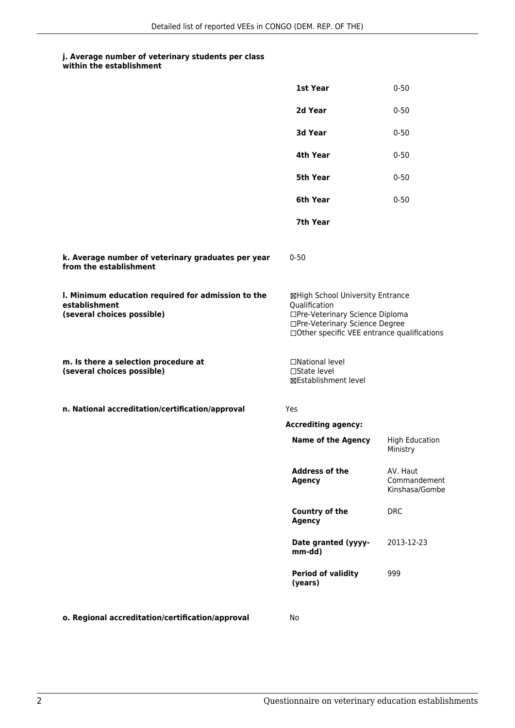## **j. Average number of veterinary students per class**

| within the establishment |  |  |  |
|--------------------------|--|--|--|
|--------------------------|--|--|--|

|                                                                                                   | 1st Year                                                                                                                                                              | $0 - 50$                                   |
|---------------------------------------------------------------------------------------------------|-----------------------------------------------------------------------------------------------------------------------------------------------------------------------|--------------------------------------------|
|                                                                                                   | 2d Year                                                                                                                                                               | $0 - 50$                                   |
|                                                                                                   | 3d Year                                                                                                                                                               | $0 - 50$                                   |
|                                                                                                   | 4th Year                                                                                                                                                              | $0 - 50$                                   |
|                                                                                                   | 5th Year                                                                                                                                                              | $0 - 50$                                   |
|                                                                                                   | 6th Year                                                                                                                                                              | $0 - 50$                                   |
|                                                                                                   | 7th Year                                                                                                                                                              |                                            |
| k. Average number of veterinary graduates per year<br>from the establishment                      | $0 - 50$                                                                                                                                                              |                                            |
| I. Minimum education required for admission to the<br>establishment<br>(several choices possible) | ⊠High School University Entrance<br>Qualification<br>□Pre-Veterinary Science Diploma<br>□Pre-Veterinary Science Degree<br>□Other specific VEE entrance qualifications |                                            |
| m. Is there a selection procedure at<br>(several choices possible)                                | □National level<br>□State level<br>⊠Establishment level                                                                                                               |                                            |
| n. National accreditation/certification/approval                                                  | Yes                                                                                                                                                                   |                                            |
|                                                                                                   | <b>Accrediting agency:</b>                                                                                                                                            |                                            |
|                                                                                                   | <b>Name of the Agency</b>                                                                                                                                             | <b>High Education</b><br>Ministry          |
|                                                                                                   | <b>Address of the</b><br><b>Agency</b>                                                                                                                                | AV. Haut<br>Commandement<br>Kinshasa/Gombe |
|                                                                                                   | <b>Country of the</b><br><b>Agency</b>                                                                                                                                | <b>DRC</b>                                 |
|                                                                                                   | Date granted (yyyy-<br>mm-dd)                                                                                                                                         | 2013-12-23                                 |
|                                                                                                   | <b>Period of validity</b><br>(years)                                                                                                                                  | 999                                        |
| o. Regional accreditation/certification/approval                                                  | No                                                                                                                                                                    |                                            |